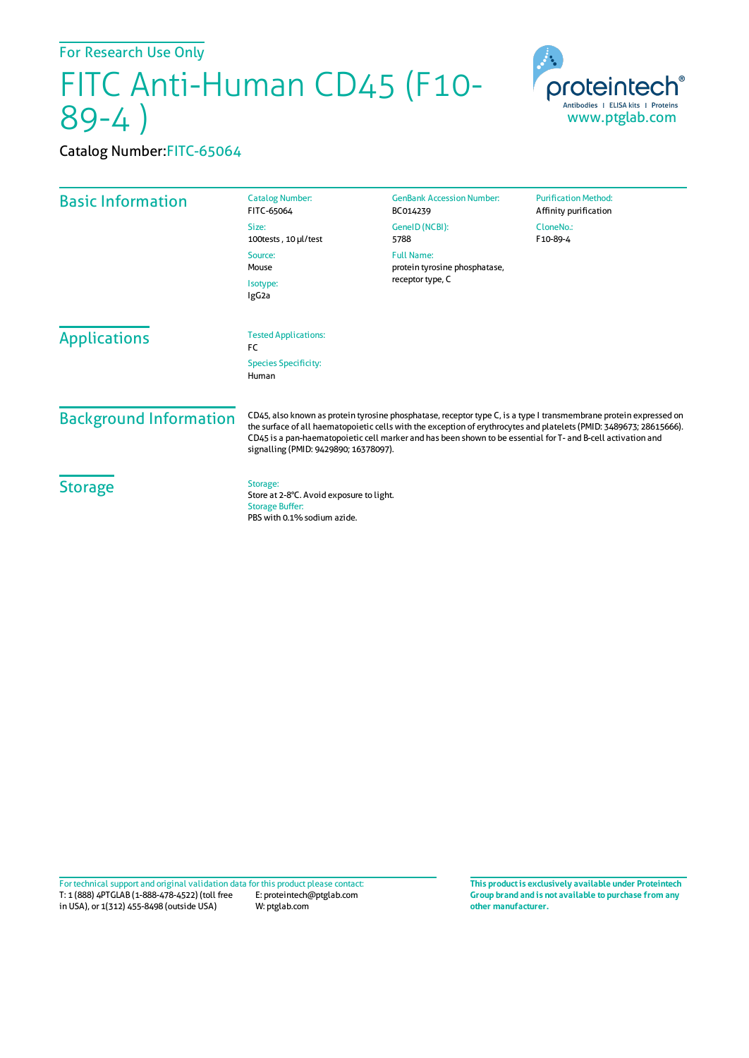For Research Use Only

## FITC Anti-Human CD45 (F10- 89-4 )



## Catalog Number:FITC-65064

| <b>Basic Information</b>             | <b>Catalog Number:</b><br>FITC-65064                                                                                                                                                                                                                                                                                                                                                              | <b>GenBank Accession Number:</b><br>BC014239                           | <b>Purification Method:</b><br>Affinity purification |
|--------------------------------------|---------------------------------------------------------------------------------------------------------------------------------------------------------------------------------------------------------------------------------------------------------------------------------------------------------------------------------------------------------------------------------------------------|------------------------------------------------------------------------|------------------------------------------------------|
|                                      | Size:<br>100tests, 10 µl/test                                                                                                                                                                                                                                                                                                                                                                     | GeneID (NCBI):<br>5788                                                 | CloneNo.:<br>F10-89-4                                |
|                                      | Source:<br>Mouse<br>Isotype:<br>IgG <sub>2a</sub>                                                                                                                                                                                                                                                                                                                                                 | <b>Full Name:</b><br>protein tyrosine phosphatase,<br>receptor type, C |                                                      |
|                                      |                                                                                                                                                                                                                                                                                                                                                                                                   |                                                                        |                                                      |
| <b>Species Specificity:</b><br>Human |                                                                                                                                                                                                                                                                                                                                                                                                   |                                                                        |                                                      |
| <b>Background Information</b>        | CD45, also known as protein tyrosine phosphatase, receptor type C, is a type I transmembrane protein expressed on<br>the surface of all haematopoietic cells with the exception of erythrocytes and platelets (PMID: 3489673; 28615666).<br>CD45 is a pan-haematopoietic cell marker and has been shown to be essential for T- and B-cell activation and<br>signalling (PMID: 9429890; 16378097). |                                                                        |                                                      |
| <b>Storage</b>                       | Storage:<br>Store at 2-8°C. Avoid exposure to light.<br><b>Storage Buffer:</b><br>PBS with 0.1% sodium azide.                                                                                                                                                                                                                                                                                     |                                                                        |                                                      |

T: 1 (888) 4PTGLAB (1-888-478-4522) (toll free in USA), or 1(312) 455-8498 (outside USA) E: proteintech@ptglab.com W: ptglab.com Fortechnical support and original validation data forthis product please contact: **This productis exclusively available under Proteintech**

**Group brand and is not available to purchase from any other manufacturer.**